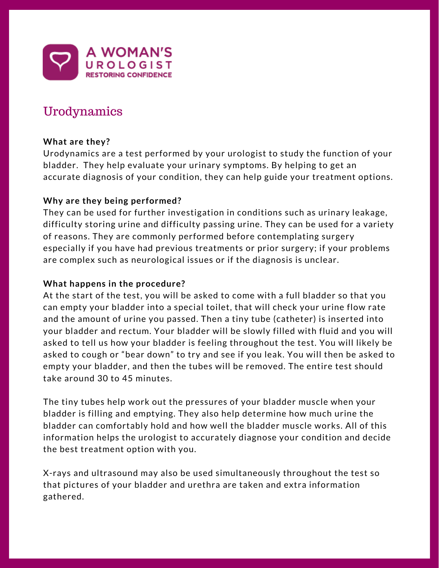

# Urodynamics

## **What are they?**

Urodynamics are a test performed by your urologist to study the function of your bladder. They help evaluate your urinary symptoms. By helping to get an accurate diagnosis of your condition, they can help guide your treatment options.

# **Why are they being performed?**

They can be used for further investigation in conditions such as urinary leakage, difficulty storing urine and difficulty passing urine. They can be used for a variety of reasons. They are commonly performed before contemplating surgery especially if you have had previous treatments or prior surgery; if your problems are complex such as neurological issues or if the diagnosis is unclear.

## **What happens in the procedure?**

At the start of the test, you will be asked to come with a full bladder so that you can empty your bladder into a special toilet, that will check your urine flow rate and the amount of urine you passed. Then a tiny tube (catheter) is inserted into your bladder and rectum. Your bladder will be slowly filled with fluid and you will asked to tell us how your bladder is feeling throughout the test. You will likely be asked to cough or "bear down" to try and see if you leak. You will then be asked to empty your bladder, and then the tubes will be removed. The entire test should take around 30 to 45 minutes.

The tiny tubes help work out the pressures of your bladder muscle when your bladder is filling and emptying. They also help determine how much urine the bladder can comfortably hold and how well the bladder muscle works. All of this information helps the urologist to accurately diagnose your condition and decide the best treatment option with you.

X-rays and ultrasound may also be used simultaneously throughout the test so that pictures of your bladder and urethra are taken and extra information gathered.